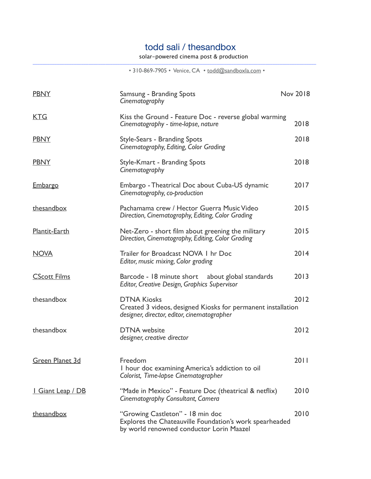## todd sali / thesandbox

 $\_$  ,  $\_$  ,  $\_$  ,  $\_$  ,  $\_$  ,  $\_$  ,  $\_$  ,  $\_$  ,  $\_$  ,  $\_$  ,  $\_$  ,  $\_$  ,  $\_$  ,  $\_$  ,  $\_$  ,  $\_$  ,  $\_$  ,  $\_$  ,  $\_$  ,  $\_$  ,  $\_$  ,  $\_$  ,  $\_$  ,  $\_$  ,  $\_$  ,  $\_$  ,  $\_$  ,  $\_$  ,  $\_$  ,  $\_$  ,  $\_$  ,  $\_$  ,  $\_$  ,  $\_$  ,  $\_$  ,  $\_$  ,  $\_$  ,

solar-powered cinema post & production

• 310-869-7905 • Venice, CA • [todd@sandboxla.com](mailto:thesandbox@comcast.net) •

| <b>PBNY</b>              | Samsung - Branding Spots<br>Cinematography                                                                                              | <b>Nov 2018</b> |
|--------------------------|-----------------------------------------------------------------------------------------------------------------------------------------|-----------------|
| <b>KTG</b>               | Kiss the Ground - Feature Doc - reverse global warming<br>Cinematography - time-lapse, nature                                           | 2018            |
| <b>PBNY</b>              | Style-Sears - Branding Spots<br>Cinematography, Editing, Color Grading                                                                  | 2018            |
| <b>PBNY</b>              | Style-Kmart - Branding Spots<br>Cinematography                                                                                          | 2018            |
| <u>Embargo</u>           | Embargo - Theatrical Doc about Cuba-US dynamic<br>Cinematography, co-production                                                         | 2017            |
| thesandbox               | Pachamama crew / Hector Guerra Music Video<br>Direction, Cinematography, Editing, Color Grading                                         | 2015            |
| Plantit-Earth            | Net-Zero - short film about greening the military<br>Direction, Cinematography, Editing, Color Grading                                  | 2015            |
| <b>NOVA</b>              | Trailer for Broadcast NOVA I hr Doc<br>Editor, music mixing, Color grading                                                              | 2014            |
| <b>CScott Films</b>      | Barcode - 18 minute short about global standards<br><b>Editor, Creative Design, Graphics Supervisor</b>                                 | 2013            |
| thesandbox               | <b>DTNA Kiosks</b><br>Created 3 videos, designed Kiosks for permanent installation<br>designer, director, editor, cinematographer       | 2012            |
| thesandbox               | <b>DTNA</b> website<br>designer, creative director                                                                                      | 2012            |
| Green Planet 3d          | Freedom<br>I hour doc examining America's addiction to oil<br>Colorist, Time-lapse Cinematographer                                      | 2011            |
| <u>I Giant Leap / DB</u> | "Made in Mexico" - Feature Doc (theatrical & netflix)<br>Cinematography Consultant, Camera                                              | 2010            |
| thesandbox               | "Growing Castleton" - 18 min doc<br>Explores the Chateauville Foundation's work spearheaded<br>by world renowned conductor Lorin Maazel | 2010            |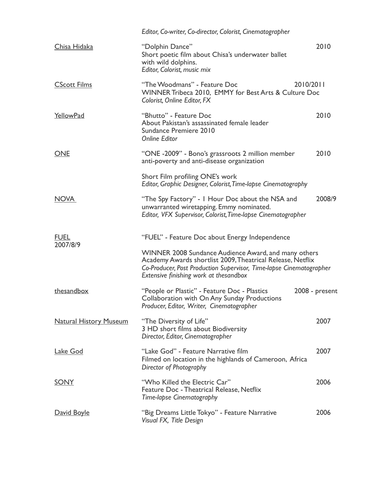|                               | Editor, Co-writer, Co-director, Colorist, Cinematographer                                                                                                                                                                           |                |  |
|-------------------------------|-------------------------------------------------------------------------------------------------------------------------------------------------------------------------------------------------------------------------------------|----------------|--|
| Chisa Hidaka                  | "Dolphin Dance"<br>Short poetic film about Chisa's underwater ballet<br>with wild dolphins.<br>Editor, Colorist, music mix                                                                                                          | 2010           |  |
| <b>CScott Films</b>           | "The Woodmans" - Feature Doc<br>2010/2011<br>WINNER Tribeca 2010, EMMY for Best Arts & Culture Doc<br>Colorist, Online Editor, FX                                                                                                   |                |  |
| YellowPad                     | "Bhutto" - Feature Doc<br>About Pakistan's assassinated female leader<br>Sundance Premiere 2010<br><b>Online Editor</b>                                                                                                             | 2010           |  |
| <b>ONE</b>                    | "ONE -2009" - Bono's grassroots 2 million member<br>anti-poverty and anti-disease organization                                                                                                                                      | 2010           |  |
|                               | Short Film profiling ONE's work<br>Editor, Graphic Designer, Colorist, Time-lapse Cinematography                                                                                                                                    |                |  |
| <b>NOVA</b>                   | "The Spy Factory" - I Hour Doc about the NSA and<br>unwarranted wiretapping. Emmy nominated.<br>Editor, VFX Supervisor, Colorist, Time-lapse Cinematographer                                                                        | 2008/9         |  |
| <b>FUEL</b><br>2007/8/9       | "FUEL" - Feature Doc about Energy Independence                                                                                                                                                                                      |                |  |
|                               | WINNER 2008 Sundance Audience Award, and many others<br>Academy Awards shortlist 2009, Theatrical Release, Netflix<br>Co-Producer, Post Production Supervisor, Time-lapse Cinematographer<br>Extensive finishing work at thesandbox |                |  |
| thesandbox                    | "People or Plastic" - Feature Doc - Plastics<br>Collaboration with On Any Sunday Productions<br>Producer, Editor, Writer, Cinematographer                                                                                           | 2008 - present |  |
| <b>Natural History Museum</b> | "The Diversity of Life"<br>3 HD short films about Biodiversity<br>Director, Editor, Cinematographer                                                                                                                                 | 2007           |  |
| Lake God                      | "Lake God" - Feature Narrative film<br>Filmed on location in the highlands of Cameroon, Africa<br>Director of Photography                                                                                                           | 2007           |  |
| <b>SONY</b>                   | "Who Killed the Electric Car"<br>Feature Doc - Theatrical Release, Netflix<br>Time-lapse Cinematography                                                                                                                             | 2006           |  |
| David Boyle                   | "Big Dreams Little Tokyo" - Feature Narrative<br>Visual FX, Title Design                                                                                                                                                            | 2006           |  |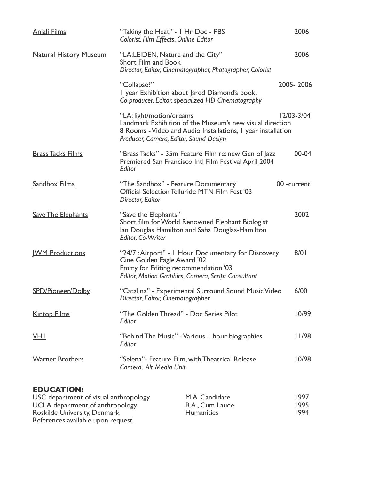| <b>Anjali Films</b>           | "Taking the Heat" - I Hr Doc - PBS<br>Colorist, Film Effects, Online Editor                                                                                                                    | 2006        |
|-------------------------------|------------------------------------------------------------------------------------------------------------------------------------------------------------------------------------------------|-------------|
| <b>Natural History Museum</b> | "LA:LEIDEN, Nature and the City"<br><b>Short Film and Book</b><br>Director, Editor, Cinematographer, Photographer, Colorist                                                                    | 2006        |
|                               | "Collapse?"<br>I year Exhibition about Jared Diamond's book.<br>Co-producer, Editor, specialized HD Cinematography                                                                             | 2005-2006   |
|                               | "LA: light/motion/dreams<br>Landmark Exhibition of the Museum's new visual direction<br>8 Rooms - Video and Audio Installations, I year installation<br>Producer, Camera, Editor, Sound Design | 12/03-3/04  |
| <b>Brass Tacks Films</b>      | "Brass Tacks" - 35m Feature Film re: new Gen of Jazz<br>Premiered San Francisco Intl Film Festival April 2004<br>Editor                                                                        | $00 - 04$   |
| Sandbox Films                 | "The Sandbox" - Feature Documentary<br>Official Selection Telluride MTN Film Fest '03<br>Director, Editor                                                                                      | 00 -current |
| <b>Save The Elephants</b>     | "Save the Elephants"<br>Short film for World Renowned Elephant Biologist<br>Ian Douglas Hamilton and Saba Douglas-Hamilton<br>Editor, Co-Writer                                                | 2002        |
| <b>WM Productions</b>         | "24/7 : Airport" - I Hour Documentary for Discovery<br>Cine Golden Eagle Award '02<br>Emmy for Editing recommendation '03<br>Editor, Motion Graphics, Camera, Script Consultant                | 8/01        |
| SPD/Pioneer/Dolby             | "Catalina" - Experimental Surround Sound Music Video<br>Director, Editor, Cinematographer                                                                                                      | 6/00        |
| <b>Kintop Films</b>           | "The Golden Thread" - Doc Series Pilot<br>Editor                                                                                                                                               | 10/99       |
| VHI                           | "Behind The Music" - Various I hour biographies<br>Editor                                                                                                                                      | 11/98       |
| <b>Warner Brothers</b>        | "Selena"- Feature Film, with Theatrical Release<br>Camera, Alt Media Unit                                                                                                                      | 10/98       |
|                               |                                                                                                                                                                                                |             |

## **EDUCATION:**

| USC department of visual anthropology | M.A. Candidate    | 1997 |
|---------------------------------------|-------------------|------|
| UCLA department of anthropology       | B.A., Cum Laude   | 1995 |
| Roskilde University, Denmark          | <b>Humanities</b> | 1994 |
| References available upon request.    |                   |      |